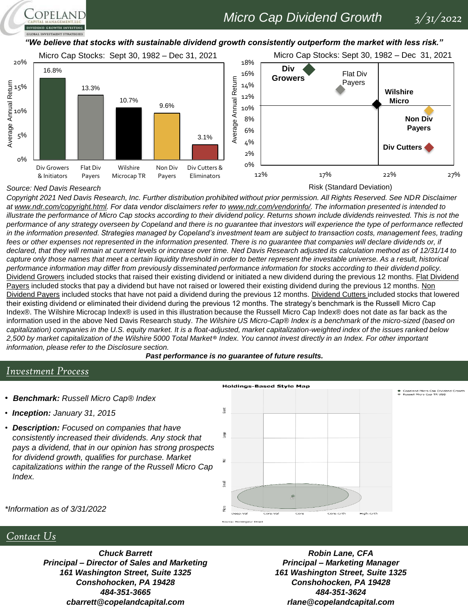# *Micro Cap Dividend Growth 3/31/2022*

*"We believe that stocks with sustainable dividend growth consistently outperform the market with less risk."* 









Risk (Standard Deviation)

*Copyright 2021 Ned Davis Research, Inc. Further distribution prohibited without prior permission. All Rights Reserved. See NDR Disclaimer at www.ndr.com/copyright.html. For data vendor disclaimers refer to www.ndr.com/vendorinfo/. The information presented is intended to illustrate the performance of Micro Cap stocks according to their dividend policy. Returns shown include dividends reinvested. This is not the performance of any strategy overseen by Copeland and there is no guarantee that investors will experience the type of performance reflected in the information presented. Strategies managed by Copeland's investment team are subject to transaction costs, management fees, trading*  fees or other expenses not represented in the information presented. There is no guarantee that companies will declare dividends or, if *declared, that they will remain at current levels or increase over time. Ned Davis Research adjusted its calculation method as of 12/31/14 to capture only those names that meet a certain liquidity threshold in order to better represent the investable universe. As a result, historical performance information may differ from previously disseminated performance information for stocks according to their dividend policy.*  Dividend Growers included stocks that raised their existing dividend or initiated a new dividend during the previous 12 months. Flat Dividend Payers included stocks that pay a dividend but have not raised or lowered their existing dividend during the previous 12 months. Non Dividend Payers included stocks that have not paid a dividend during the previous 12 months. Dividend Cutters included stocks that lowered their existing dividend or eliminated their dividend during the previous 12 months. The strategy's benchmark is the Russell Micro Cap Index®. The Wilshire Microcap Index® is used in this illustration because the Russell Micro Cap Index® does not date as far back as the information used in the above Ned Davis Research study. *The Wilshire US Micro-Cap® Index is a benchmark of the micro-sized (based on capitalization) companies in the U.S. equity market. It is a float-adjusted, market capitalization-weighted index of the issues ranked below 2,500 by market capitalization of the Wilshire 5000 Total Market® Index. You cannot invest directly in an Index. For other important information, please refer to the Disclosure section.*

*Past performance is no guarantee of future results.*

### *Investment Process*

*Source: Ned Davis Research*

COPELAND

**GLOBAL INVESTMENT STRATEGIES** 

- *Benchmark: Russell Micro Cap® Index*
- *Inception: January 31, 2015*
- *Description: Focused on companies that have consistently increased their dividends. Any stock that pays a dividend, that in our opinion has strong prospects for dividend growth, qualifies for purchase. Market capitalizations within the range of the Russell Micro Cap Index.*



*\*Information as of 3/31/2022*

### *Contact Us*

*Chuck Barrett Principal – Director of Sales and Marketing 161 Washington Street, Suite 1325 Conshohocken, PA 19428 484-351-3665 cbarrett@copelandcapital.com*

*Robin Lane, CFA Principal – Marketing Manager 161 Washington Street, Suite 1325 Conshohocken, PA 19428 484-351-3624 rlane@copelandcapital.com*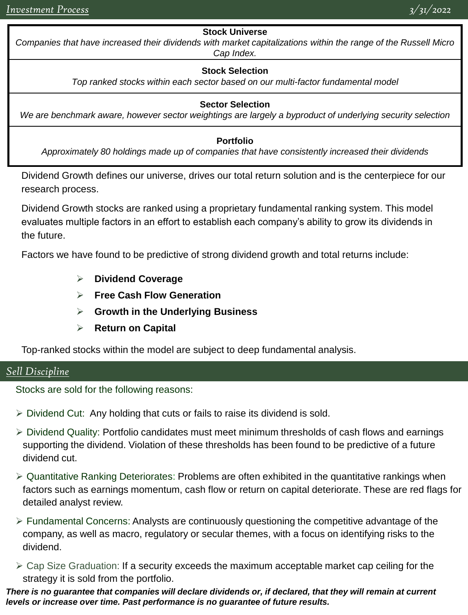### **Stock Universe**

*Companies that have increased their dividends with market capitalizations within the range of the Russell Micro Cap Index.*

### **Stock Selection**

*Top ranked stocks within each sector based on our multi-factor fundamental model*

### **Sector Selection**

*We are benchmark aware, however sector weightings are largely a byproduct of underlying security selection*

#### **Portfolio**

*Approximately 80 holdings made up of companies that have consistently increased their dividends*

Dividend Growth defines our universe, drives our total return solution and is the centerpiece for our research process.

Dividend Growth stocks are ranked using a proprietary fundamental ranking system. This model evaluates multiple factors in an effort to establish each company's ability to grow its dividends in the future.

Factors we have found to be predictive of strong dividend growth and total returns include:

- ➢ **Dividend Coverage**
- ➢ **Free Cash Flow Generation**
- ➢ **Growth in the Underlying Business**
- ➢ **Return on Capital**

Top-ranked stocks within the model are subject to deep fundamental analysis.

## *Sell Discipline*

Stocks are sold for the following reasons:

- $\triangleright$  Dividend Cut: Any holding that cuts or fails to raise its dividend is sold.
- ➢ Dividend Quality: Portfolio candidates must meet minimum thresholds of cash flows and earnings supporting the dividend. Violation of these thresholds has been found to be predictive of a future dividend cut.
- ➢ Quantitative Ranking Deteriorates: Problems are often exhibited in the quantitative rankings when factors such as earnings momentum, cash flow or return on capital deteriorate. These are red flags for detailed analyst review.
- $\triangleright$  Fundamental Concerns: Analysts are continuously questioning the competitive advantage of the company, as well as macro, regulatory or secular themes, with a focus on identifying risks to the dividend.
- $\triangleright$  Cap Size Graduation: If a security exceeds the maximum acceptable market cap ceiling for the strategy it is sold from the portfolio.

*There is no guarantee that companies will declare dividends or, if declared, that they will remain at current levels or increase over time. Past performance is no guarantee of future results.*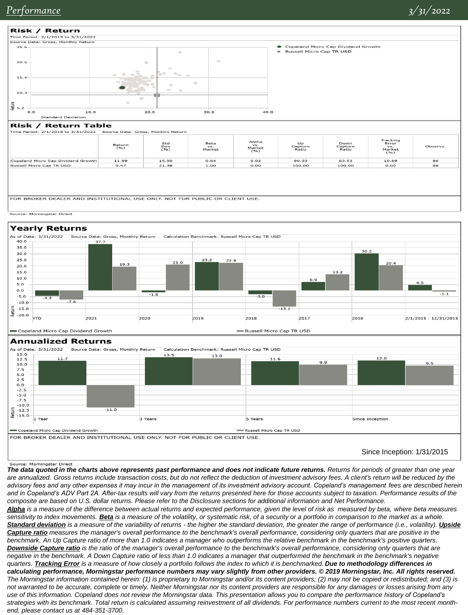

Copeland Micro Cap Dividend Growth

FOR BROKER DEALER AND INSTITUTIONAL USE ONLY. NOT FOR PUBLIC OR CLIENT USE.

Since Inception: 1/31/2015

Source: Morningstar Direct

*The data quoted in the charts above represents past performance and does not indicate future returns. Returns for periods of greater than one year*  are annualized. Gross returns include transaction costs, but do not reflect the deduction of investment advisory fees. A client's return will be reduced by the *advisory fees and any other expenses it may incur in the management of its investment advisory account. Copeland's management fees are described herein and in Copeland's ADV Part 2A. After-tax results will vary from the returns presented here for those accounts subject to taxation. Performance results of the composite are based on U.S. dollar returns. Please refer to the Disclosure sections for additional information and Net Performance. Alpha is a measure of the difference between actual returns and expected performance, given the level of risk as measured by beta, where beta measures* 

Russell Micro Cap TR USD

*sensitivity to index movements. Beta is a measure of the volatility, or systematic risk, of a security or a portfolio in comparison to the market as a whole.*  Standard deviation is a measure of the variability of returns - the higher the standard deviation, the greater the range of performance (i.e., volatility). Upside *Capture ratio measures the manager's overall performance to the benchmark's overall performance, considering only quarters that are positive in the benchmark. An Up Capture ratio of more than 1.0 indicates a manager who outperforms the relative benchmark in the benchmark's positive quarters. Downside Capture ratio is the ratio of the manager's overall performance to the benchmark's overall performance, considering only quarters that are negative in the benchmark. A Down Capture ratio of less than 1.0 indicates a manager that outperformed the benchmark in the benchmark's negative quarters. Tracking Error is a measure of how closely a portfolio follows the index to which it is benchmarked. Due to methodology differences in calculating performance, Morningstar performance numbers may vary slightly from other providers. © 2019 Morningstar, Inc. All rights reserved. The Morningstar information contained herein: (1) is proprietary to Morningstar and/or its content providers; (2) may not be copied or redistributed; and (3) is not warranted to be accurate, complete or timely. Neither Morningstar nor its content providers are responsible for any damages or losses arising from any use of this information. Copeland does not review the Morningstar data. This presentation allows you to compare the performance history of Copeland's strategies with its benchmark. Total return is calculated assuming reinvestment of all dividends. For performance numbers current to the most recent monthend, please contact us at 484-351-3700.*